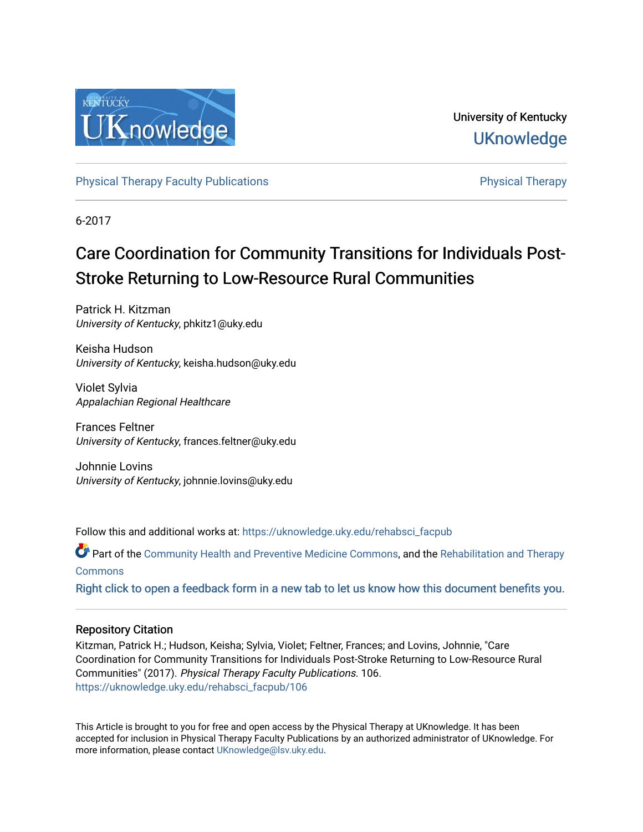

University of Kentucky **UKnowledge** 

[Physical Therapy Faculty Publications](https://uknowledge.uky.edu/rehabsci_facpub) **Physical Therapy** Physical Therapy

6-2017

# Care Coordination for Community Transitions for Individuals Post-Stroke Returning to Low-Resource Rural Communities

Patrick H. Kitzman University of Kentucky, phkitz1@uky.edu

Keisha Hudson University of Kentucky, keisha.hudson@uky.edu

Violet Sylvia Appalachian Regional Healthcare

Frances Feltner University of Kentucky, frances.feltner@uky.edu

Johnnie Lovins University of Kentucky, johnnie.lovins@uky.edu

Follow this and additional works at: [https://uknowledge.uky.edu/rehabsci\\_facpub](https://uknowledge.uky.edu/rehabsci_facpub?utm_source=uknowledge.uky.edu%2Frehabsci_facpub%2F106&utm_medium=PDF&utm_campaign=PDFCoverPages) 

Part of the [Community Health and Preventive Medicine Commons](http://network.bepress.com/hgg/discipline/744?utm_source=uknowledge.uky.edu%2Frehabsci_facpub%2F106&utm_medium=PDF&utm_campaign=PDFCoverPages), and the Rehabilitation and Therapy **[Commons](http://network.bepress.com/hgg/discipline/749?utm_source=uknowledge.uky.edu%2Frehabsci_facpub%2F106&utm_medium=PDF&utm_campaign=PDFCoverPages)** 

[Right click to open a feedback form in a new tab to let us know how this document benefits you.](https://uky.az1.qualtrics.com/jfe/form/SV_9mq8fx2GnONRfz7)

# Repository Citation

Kitzman, Patrick H.; Hudson, Keisha; Sylvia, Violet; Feltner, Frances; and Lovins, Johnnie, "Care Coordination for Community Transitions for Individuals Post-Stroke Returning to Low-Resource Rural Communities" (2017). Physical Therapy Faculty Publications. 106. [https://uknowledge.uky.edu/rehabsci\\_facpub/106](https://uknowledge.uky.edu/rehabsci_facpub/106?utm_source=uknowledge.uky.edu%2Frehabsci_facpub%2F106&utm_medium=PDF&utm_campaign=PDFCoverPages) 

This Article is brought to you for free and open access by the Physical Therapy at UKnowledge. It has been accepted for inclusion in Physical Therapy Faculty Publications by an authorized administrator of UKnowledge. For more information, please contact [UKnowledge@lsv.uky.edu](mailto:UKnowledge@lsv.uky.edu).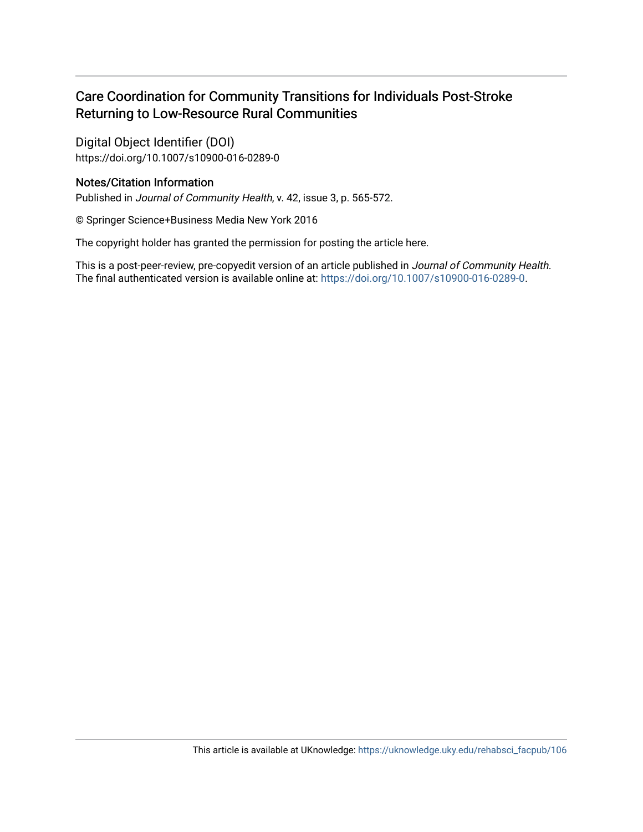# Care Coordination for Community Transitions for Individuals Post-Stroke Returning to Low-Resource Rural Communities

Digital Object Identifier (DOI) https://doi.org/10.1007/s10900-016-0289-0

# Notes/Citation Information

Published in Journal of Community Health, v. 42, issue 3, p. 565-572.

© Springer Science+Business Media New York 2016

The copyright holder has granted the permission for posting the article here.

This is a post-peer-review, pre-copyedit version of an article published in Journal of Community Health. The final authenticated version is available online at: <https://doi.org/10.1007/s10900-016-0289-0>.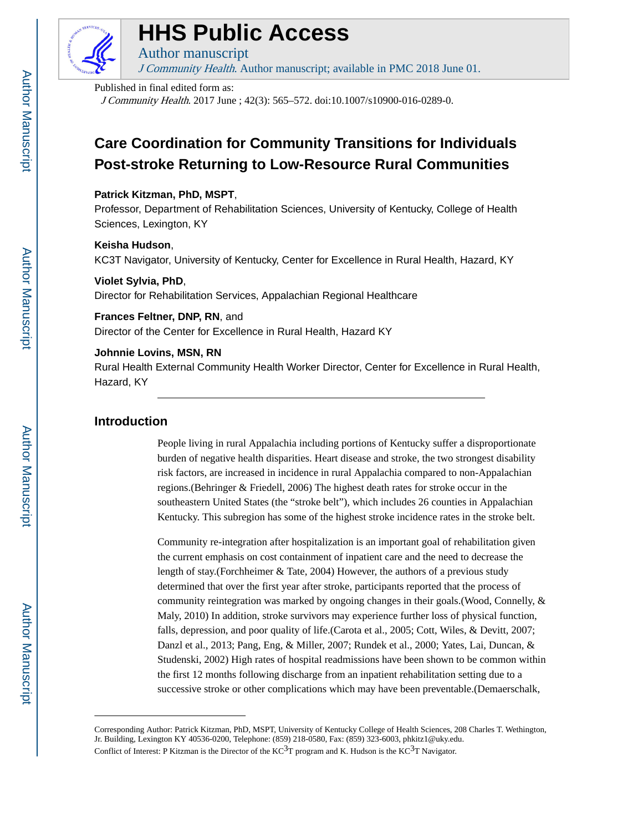

# **HHS Public Access**

Author manuscript J Community Health. Author manuscript; available in PMC 2018 June 01.

#### Published in final edited form as:

J Community Health. 2017 June ; 42(3): 565–572. doi:10.1007/s10900-016-0289-0.

# **Care Coordination for Community Transitions for Individuals Post-stroke Returning to Low-Resource Rural Communities**

## **Patrick Kitzman, PhD, MSPT**,

Professor, Department of Rehabilitation Sciences, University of Kentucky, College of Health Sciences, Lexington, KY

#### **Keisha Hudson**,

KC3T Navigator, University of Kentucky, Center for Excellence in Rural Health, Hazard, KY

## **Violet Sylvia, PhD**,

Director for Rehabilitation Services, Appalachian Regional Healthcare

# **Frances Feltner, DNP, RN**, and

Director of the Center for Excellence in Rural Health, Hazard KY

# **Johnnie Lovins, MSN, RN**

Rural Health External Community Health Worker Director, Center for Excellence in Rural Health, Hazard, KY

# **Introduction**

People living in rural Appalachia including portions of Kentucky suffer a disproportionate burden of negative health disparities. Heart disease and stroke, the two strongest disability risk factors, are increased in incidence in rural Appalachia compared to non-Appalachian regions.(Behringer & Friedell, 2006) The highest death rates for stroke occur in the southeastern United States (the "stroke belt"), which includes 26 counties in Appalachian Kentucky. This subregion has some of the highest stroke incidence rates in the stroke belt.

Community re-integration after hospitalization is an important goal of rehabilitation given the current emphasis on cost containment of inpatient care and the need to decrease the length of stay.(Forchheimer & Tate, 2004) However, the authors of a previous study determined that over the first year after stroke, participants reported that the process of community reintegration was marked by ongoing changes in their goals.(Wood, Connelly, & Maly, 2010) In addition, stroke survivors may experience further loss of physical function, falls, depression, and poor quality of life.(Carota et al., 2005; Cott, Wiles, & Devitt, 2007; Danzl et al., 2013; Pang, Eng, & Miller, 2007; Rundek et al., 2000; Yates, Lai, Duncan, & Studenski, 2002) High rates of hospital readmissions have been shown to be common within the first 12 months following discharge from an inpatient rehabilitation setting due to a successive stroke or other complications which may have been preventable.(Demaerschalk,

Corresponding Author: Patrick Kitzman, PhD, MSPT, University of Kentucky College of Health Sciences, 208 Charles T. Wethington, Jr. Building, Lexington KY 40536-0200, Telephone: (859) 218-0580, Fax: (859) 323-6003, phkitz1@uky.edu. Conflict of Interest: P Kitzman is the Director of the  $KC<sup>3</sup>T$  program and K. Hudson is the  $KC<sup>3</sup>T$  Navigator.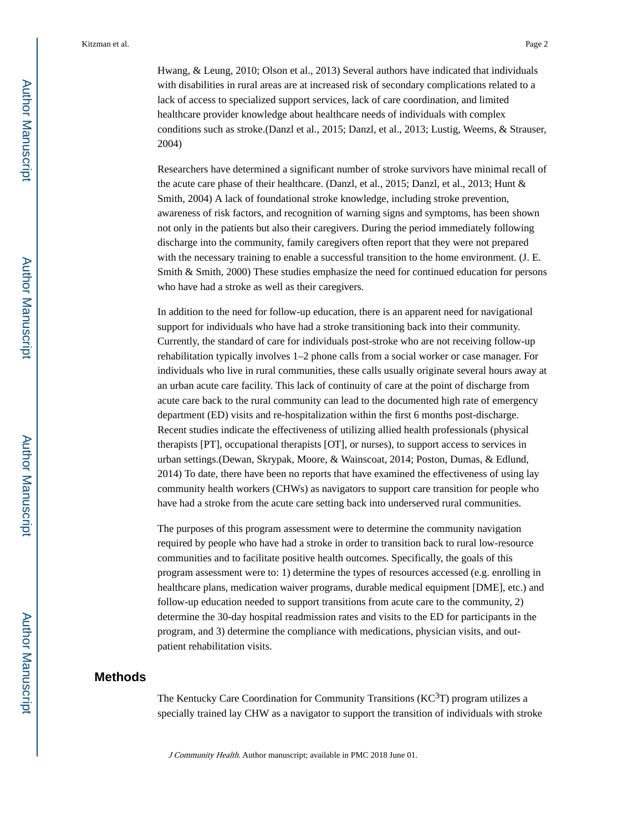Hwang, & Leung, 2010; Olson et al., 2013) Several authors have indicated that individuals with disabilities in rural areas are at increased risk of secondary complications related to a lack of access to specialized support services, lack of care coordination, and limited healthcare provider knowledge about healthcare needs of individuals with complex conditions such as stroke.(Danzl et al., 2015; Danzl, et al., 2013; Lustig, Weems, & Strauser, 2004)

Researchers have determined a significant number of stroke survivors have minimal recall of the acute care phase of their healthcare. (Danzl, et al., 2015; Danzl, et al., 2013; Hunt & Smith, 2004) A lack of foundational stroke knowledge, including stroke prevention, awareness of risk factors, and recognition of warning signs and symptoms, has been shown not only in the patients but also their caregivers. During the period immediately following discharge into the community, family caregivers often report that they were not prepared with the necessary training to enable a successful transition to the home environment. (J. E. Smith & Smith, 2000) These studies emphasize the need for continued education for persons who have had a stroke as well as their caregivers.

In addition to the need for follow-up education, there is an apparent need for navigational support for individuals who have had a stroke transitioning back into their community. Currently, the standard of care for individuals post-stroke who are not receiving follow-up rehabilitation typically involves 1–2 phone calls from a social worker or case manager. For individuals who live in rural communities, these calls usually originate several hours away at an urban acute care facility. This lack of continuity of care at the point of discharge from acute care back to the rural community can lead to the documented high rate of emergency department (ED) visits and re-hospitalization within the first 6 months post-discharge. Recent studies indicate the effectiveness of utilizing allied health professionals (physical therapists [PT], occupational therapists [OT], or nurses), to support access to services in urban settings.(Dewan, Skrypak, Moore, & Wainscoat, 2014; Poston, Dumas, & Edlund, 2014) To date, there have been no reports that have examined the effectiveness of using lay community health workers (CHWs) as navigators to support care transition for people who have had a stroke from the acute care setting back into underserved rural communities.

The purposes of this program assessment were to determine the community navigation required by people who have had a stroke in order to transition back to rural low-resource communities and to facilitate positive health outcomes. Specifically, the goals of this program assessment were to: 1) determine the types of resources accessed (e.g. enrolling in healthcare plans, medication waiver programs, durable medical equipment [DME], etc.) and follow-up education needed to support transitions from acute care to the community, 2) determine the 30-day hospital readmission rates and visits to the ED for participants in the program, and 3) determine the compliance with medications, physician visits, and outpatient rehabilitation visits.

#### **Methods**

The Kentucky Care Coordination for Community Transitions  $(KC^{3}T)$  program utilizes a specially trained lay CHW as a navigator to support the transition of individuals with stroke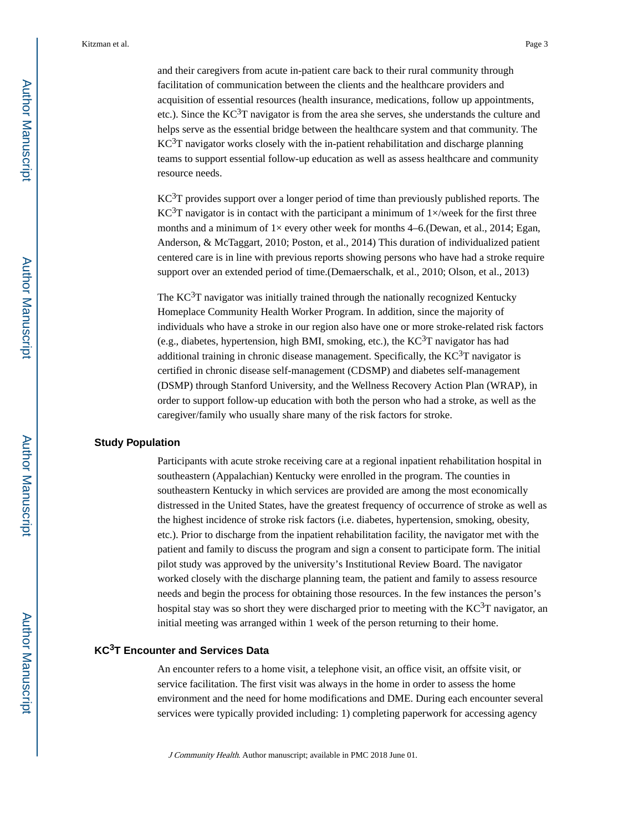and their caregivers from acute in-patient care back to their rural community through facilitation of communication between the clients and the healthcare providers and acquisition of essential resources (health insurance, medications, follow up appointments, etc.). Since the  $KC^{3}T$  navigator is from the area she serves, she understands the culture and helps serve as the essential bridge between the healthcare system and that community. The  $KC<sup>3</sup>T$  navigator works closely with the in-patient rehabilitation and discharge planning teams to support essential follow-up education as well as assess healthcare and community resource needs.

KC3T provides support over a longer period of time than previously published reports. The KC<sup>3</sup>T navigator is in contact with the participant a minimum of  $1 \times$ /week for the first three months and a minimum of  $1\times$  every other week for months 4–6. (Dewan, et al., 2014; Egan, Anderson, & McTaggart, 2010; Poston, et al., 2014) This duration of individualized patient centered care is in line with previous reports showing persons who have had a stroke require support over an extended period of time.(Demaerschalk, et al., 2010; Olson, et al., 2013)

The  $KC<sup>3</sup>T$  navigator was initially trained through the nationally recognized Kentucky Homeplace Community Health Worker Program. In addition, since the majority of individuals who have a stroke in our region also have one or more stroke-related risk factors (e.g., diabetes, hypertension, high BMI, smoking, etc.), the  $KC<sup>3</sup>T$  navigator has had additional training in chronic disease management. Specifically, the  $KC<sup>3</sup>T$  navigator is certified in chronic disease self-management (CDSMP) and diabetes self-management (DSMP) through Stanford University, and the Wellness Recovery Action Plan (WRAP), in order to support follow-up education with both the person who had a stroke, as well as the caregiver/family who usually share many of the risk factors for stroke.

#### **Study Population**

Participants with acute stroke receiving care at a regional inpatient rehabilitation hospital in southeastern (Appalachian) Kentucky were enrolled in the program. The counties in southeastern Kentucky in which services are provided are among the most economically distressed in the United States, have the greatest frequency of occurrence of stroke as well as the highest incidence of stroke risk factors (i.e. diabetes, hypertension, smoking, obesity, etc.). Prior to discharge from the inpatient rehabilitation facility, the navigator met with the patient and family to discuss the program and sign a consent to participate form. The initial pilot study was approved by the university's Institutional Review Board. The navigator worked closely with the discharge planning team, the patient and family to assess resource needs and begin the process for obtaining those resources. In the few instances the person's hospital stay was so short they were discharged prior to meeting with the  $KC<sup>3</sup>T$  navigator, an initial meeting was arranged within 1 week of the person returning to their home.

# **KC3T Encounter and Services Data**

An encounter refers to a home visit, a telephone visit, an office visit, an offsite visit, or service facilitation. The first visit was always in the home in order to assess the home environment and the need for home modifications and DME. During each encounter several services were typically provided including: 1) completing paperwork for accessing agency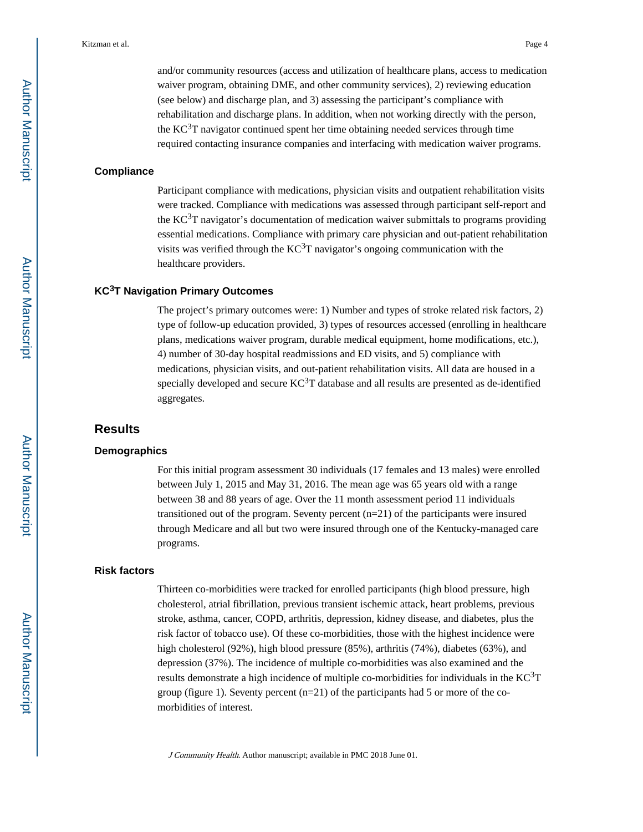and/or community resources (access and utilization of healthcare plans, access to medication waiver program, obtaining DME, and other community services), 2) reviewing education (see below) and discharge plan, and 3) assessing the participant's compliance with rehabilitation and discharge plans. In addition, when not working directly with the person, the  $KC^{3}T$  navigator continued spent her time obtaining needed services through time required contacting insurance companies and interfacing with medication waiver programs.

#### **Compliance**

Participant compliance with medications, physician visits and outpatient rehabilitation visits were tracked. Compliance with medications was assessed through participant self-report and the  $KC^{3}T$  navigator's documentation of medication waiver submittals to programs providing essential medications. Compliance with primary care physician and out-patient rehabilitation visits was verified through the  $KC<sup>3</sup>T$  navigator's ongoing communication with the healthcare providers.

#### **KC3T Navigation Primary Outcomes**

The project's primary outcomes were: 1) Number and types of stroke related risk factors, 2) type of follow-up education provided, 3) types of resources accessed (enrolling in healthcare plans, medications waiver program, durable medical equipment, home modifications, etc.), 4) number of 30-day hospital readmissions and ED visits, and 5) compliance with medications, physician visits, and out-patient rehabilitation visits. All data are housed in a specially developed and secure  $KC<sup>3</sup>T$  database and all results are presented as de-identified aggregates.

# **Results**

#### **Demographics**

For this initial program assessment 30 individuals (17 females and 13 males) were enrolled between July 1, 2015 and May 31, 2016. The mean age was 65 years old with a range between 38 and 88 years of age. Over the 11 month assessment period 11 individuals transitioned out of the program. Seventy percent (n=21) of the participants were insured through Medicare and all but two were insured through one of the Kentucky-managed care programs.

#### **Risk factors**

Thirteen co-morbidities were tracked for enrolled participants (high blood pressure, high cholesterol, atrial fibrillation, previous transient ischemic attack, heart problems, previous stroke, asthma, cancer, COPD, arthritis, depression, kidney disease, and diabetes, plus the risk factor of tobacco use). Of these co-morbidities, those with the highest incidence were high cholesterol (92%), high blood pressure (85%), arthritis (74%), diabetes (63%), and depression (37%). The incidence of multiple co-morbidities was also examined and the results demonstrate a high incidence of multiple co-morbidities for individuals in the  $KC<sup>3</sup>T$ group (figure 1). Seventy percent (n=21) of the participants had 5 or more of the comorbidities of interest.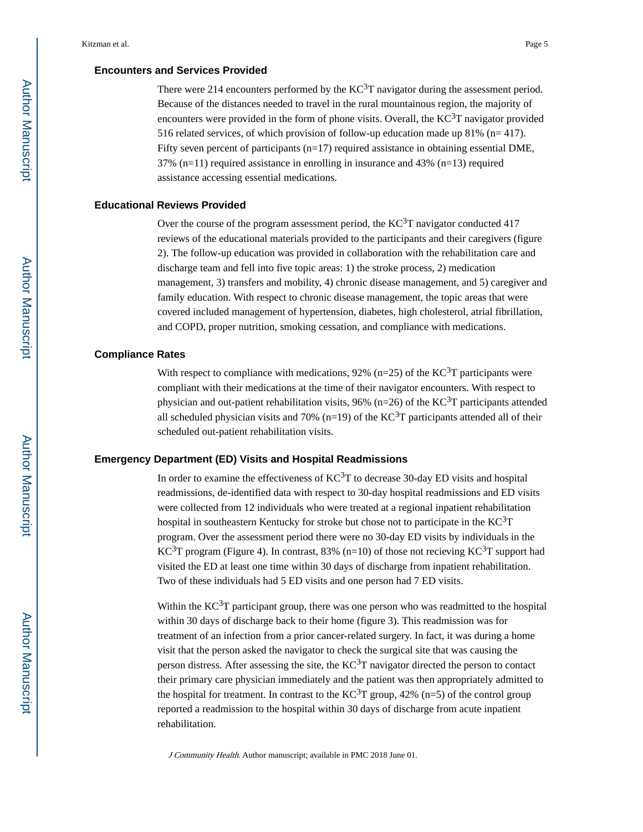## **Encounters and Services Provided**

There were 214 encounters performed by the  $KC<sup>3</sup>T$  navigator during the assessment period. Because of the distances needed to travel in the rural mountainous region, the majority of encounters were provided in the form of phone visits. Overall, the  $KC<sup>3</sup>T$  navigator provided 516 related services, of which provision of follow-up education made up 81% ( $n=417$ ). Fifty seven percent of participants (n=17) required assistance in obtaining essential DME,  $37\%$  (n=11) required assistance in enrolling in insurance and 43% (n=13) required assistance accessing essential medications.

#### **Educational Reviews Provided**

Over the course of the program assessment period, the  $KC<sup>3</sup>T$  navigator conducted 417 reviews of the educational materials provided to the participants and their caregivers (figure 2). The follow-up education was provided in collaboration with the rehabilitation care and discharge team and fell into five topic areas: 1) the stroke process, 2) medication management, 3) transfers and mobility, 4) chronic disease management, and 5) caregiver and family education. With respect to chronic disease management, the topic areas that were covered included management of hypertension, diabetes, high cholesterol, atrial fibrillation, and COPD, proper nutrition, smoking cessation, and compliance with medications.

### **Compliance Rates**

With respect to compliance with medications, 92% (n=25) of the  $KC^{3}T$  participants were compliant with their medications at the time of their navigator encounters. With respect to physician and out-patient rehabilitation visits, 96% (n=26) of the  $KC^{3}T$  participants attended all scheduled physician visits and 70% (n=19) of the KC<sup>3</sup>T participants attended all of their scheduled out-patient rehabilitation visits.

#### **Emergency Department (ED) Visits and Hospital Readmissions**

In order to examine the effectiveness of  $KC<sup>3</sup>T$  to decrease 30-day ED visits and hospital readmissions, de-identified data with respect to 30-day hospital readmissions and ED visits were collected from 12 individuals who were treated at a regional inpatient rehabilitation hospital in southeastern Kentucky for stroke but chose not to participate in the KC<sup>3</sup>T program. Over the assessment period there were no 30-day ED visits by individuals in the KC<sup>3</sup>T program (Figure 4). In contrast, 83% (n=10) of those not recieving KC<sup>3</sup>T support had visited the ED at least one time within 30 days of discharge from inpatient rehabilitation. Two of these individuals had 5 ED visits and one person had 7 ED visits.

Within the  $KC^{3}T$  participant group, there was one person who was readmitted to the hospital within 30 days of discharge back to their home (figure 3). This readmission was for treatment of an infection from a prior cancer-related surgery. In fact, it was during a home visit that the person asked the navigator to check the surgical site that was causing the person distress. After assessing the site, the  $KC<sup>3</sup>T$  navigator directed the person to contact their primary care physician immediately and the patient was then appropriately admitted to the hospital for treatment. In contrast to the  $KC^3T$  group, 42% (n=5) of the control group reported a readmission to the hospital within 30 days of discharge from acute inpatient rehabilitation.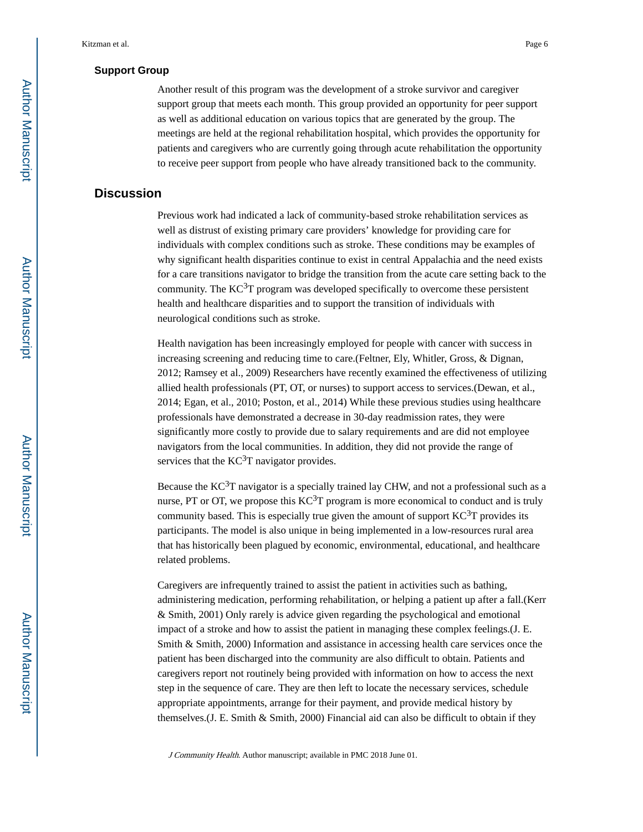#### **Support Group**

Another result of this program was the development of a stroke survivor and caregiver support group that meets each month. This group provided an opportunity for peer support as well as additional education on various topics that are generated by the group. The meetings are held at the regional rehabilitation hospital, which provides the opportunity for patients and caregivers who are currently going through acute rehabilitation the opportunity to receive peer support from people who have already transitioned back to the community.

# **Discussion**

Previous work had indicated a lack of community-based stroke rehabilitation services as well as distrust of existing primary care providers' knowledge for providing care for individuals with complex conditions such as stroke. These conditions may be examples of why significant health disparities continue to exist in central Appalachia and the need exists for a care transitions navigator to bridge the transition from the acute care setting back to the community. The  $KC^{3}T$  program was developed specifically to overcome these persistent health and healthcare disparities and to support the transition of individuals with neurological conditions such as stroke.

Health navigation has been increasingly employed for people with cancer with success in increasing screening and reducing time to care.(Feltner, Ely, Whitler, Gross, & Dignan, 2012; Ramsey et al., 2009) Researchers have recently examined the effectiveness of utilizing allied health professionals (PT, OT, or nurses) to support access to services.(Dewan, et al., 2014; Egan, et al., 2010; Poston, et al., 2014) While these previous studies using healthcare professionals have demonstrated a decrease in 30-day readmission rates, they were significantly more costly to provide due to salary requirements and are did not employee navigators from the local communities. In addition, they did not provide the range of services that the  $KC^{3}T$  navigator provides.

Because the  $KC^{3}T$  navigator is a specially trained lay CHW, and not a professional such as a nurse, PT or OT, we propose this  $KC<sup>3</sup>T$  program is more economical to conduct and is truly community based. This is especially true given the amount of support  $KC^3T$  provides its participants. The model is also unique in being implemented in a low-resources rural area that has historically been plagued by economic, environmental, educational, and healthcare related problems.

Caregivers are infrequently trained to assist the patient in activities such as bathing, administering medication, performing rehabilitation, or helping a patient up after a fall.(Kerr & Smith, 2001) Only rarely is advice given regarding the psychological and emotional impact of a stroke and how to assist the patient in managing these complex feelings.(J. E. Smith & Smith, 2000) Information and assistance in accessing health care services once the patient has been discharged into the community are also difficult to obtain. Patients and caregivers report not routinely being provided with information on how to access the next step in the sequence of care. They are then left to locate the necessary services, schedule appropriate appointments, arrange for their payment, and provide medical history by themselves.  $(J. E. Smith \& Smith, 2000)$  Financial aid can also be difficult to obtain if they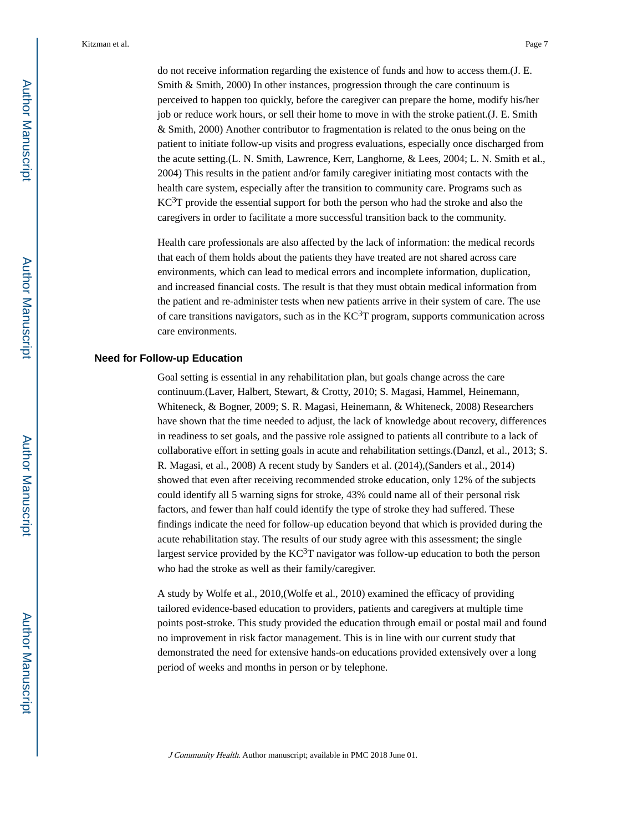do not receive information regarding the existence of funds and how to access them.(J. E. Smith & Smith, 2000) In other instances, progression through the care continuum is perceived to happen too quickly, before the caregiver can prepare the home, modify his/her job or reduce work hours, or sell their home to move in with the stroke patient.(J. E. Smith & Smith, 2000) Another contributor to fragmentation is related to the onus being on the patient to initiate follow-up visits and progress evaluations, especially once discharged from the acute setting.(L. N. Smith, Lawrence, Kerr, Langhorne, & Lees, 2004; L. N. Smith et al., 2004) This results in the patient and/or family caregiver initiating most contacts with the health care system, especially after the transition to community care. Programs such as  $KC<sup>3</sup>T$  provide the essential support for both the person who had the stroke and also the caregivers in order to facilitate a more successful transition back to the community.

Health care professionals are also affected by the lack of information: the medical records that each of them holds about the patients they have treated are not shared across care environments, which can lead to medical errors and incomplete information, duplication, and increased financial costs. The result is that they must obtain medical information from the patient and re-administer tests when new patients arrive in their system of care. The use of care transitions navigators, such as in the  $KC<sup>3</sup>T$  program, supports communication across care environments.

#### **Need for Follow-up Education**

Goal setting is essential in any rehabilitation plan, but goals change across the care continuum.(Laver, Halbert, Stewart, & Crotty, 2010; S. Magasi, Hammel, Heinemann, Whiteneck, & Bogner, 2009; S. R. Magasi, Heinemann, & Whiteneck, 2008) Researchers have shown that the time needed to adjust, the lack of knowledge about recovery, differences in readiness to set goals, and the passive role assigned to patients all contribute to a lack of collaborative effort in setting goals in acute and rehabilitation settings.(Danzl, et al., 2013; S. R. Magasi, et al., 2008) A recent study by Sanders et al. (2014),(Sanders et al., 2014) showed that even after receiving recommended stroke education, only 12% of the subjects could identify all 5 warning signs for stroke, 43% could name all of their personal risk factors, and fewer than half could identify the type of stroke they had suffered. These findings indicate the need for follow-up education beyond that which is provided during the acute rehabilitation stay. The results of our study agree with this assessment; the single largest service provided by the  $KC^{3}T$  navigator was follow-up education to both the person who had the stroke as well as their family/caregiver.

A study by Wolfe et al., 2010,(Wolfe et al., 2010) examined the efficacy of providing tailored evidence-based education to providers, patients and caregivers at multiple time points post-stroke. This study provided the education through email or postal mail and found no improvement in risk factor management. This is in line with our current study that demonstrated the need for extensive hands-on educations provided extensively over a long period of weeks and months in person or by telephone.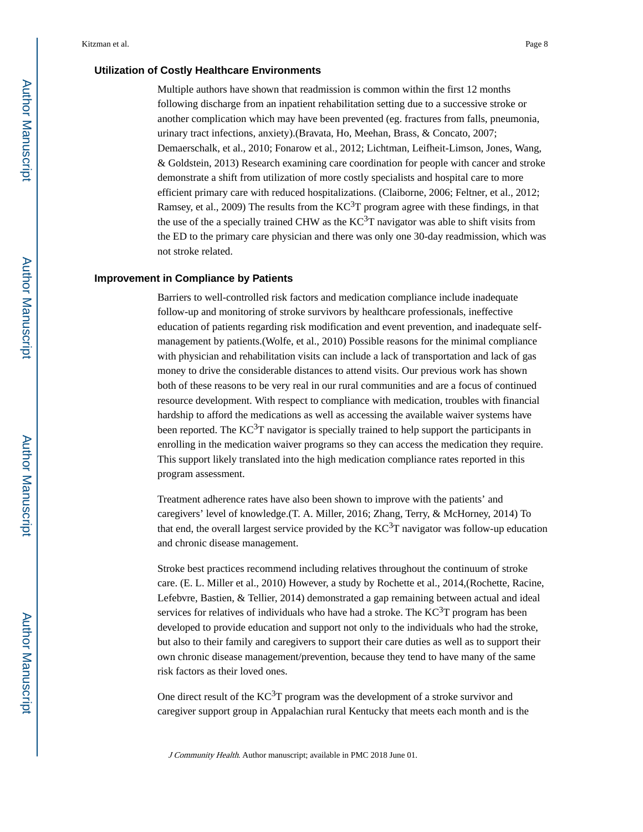#### **Utilization of Costly Healthcare Environments**

Multiple authors have shown that readmission is common within the first 12 months following discharge from an inpatient rehabilitation setting due to a successive stroke or another complication which may have been prevented (eg. fractures from falls, pneumonia, urinary tract infections, anxiety).(Bravata, Ho, Meehan, Brass, & Concato, 2007; Demaerschalk, et al., 2010; Fonarow et al., 2012; Lichtman, Leifheit-Limson, Jones, Wang, & Goldstein, 2013) Research examining care coordination for people with cancer and stroke demonstrate a shift from utilization of more costly specialists and hospital care to more efficient primary care with reduced hospitalizations. (Claiborne, 2006; Feltner, et al., 2012; Ramsey, et al., 2009) The results from the  $KC<sup>3</sup>T$  program agree with these findings, in that the use of the a specially trained CHW as the  $KC<sup>3</sup>T$  navigator was able to shift visits from the ED to the primary care physician and there was only one 30-day readmission, which was not stroke related.

#### **Improvement in Compliance by Patients**

Barriers to well-controlled risk factors and medication compliance include inadequate follow-up and monitoring of stroke survivors by healthcare professionals, ineffective education of patients regarding risk modification and event prevention, and inadequate selfmanagement by patients.(Wolfe, et al., 2010) Possible reasons for the minimal compliance with physician and rehabilitation visits can include a lack of transportation and lack of gas money to drive the considerable distances to attend visits. Our previous work has shown both of these reasons to be very real in our rural communities and are a focus of continued resource development. With respect to compliance with medication, troubles with financial hardship to afford the medications as well as accessing the available waiver systems have been reported. The  $KC^{3}T$  navigator is specially trained to help support the participants in enrolling in the medication waiver programs so they can access the medication they require. This support likely translated into the high medication compliance rates reported in this program assessment.

Treatment adherence rates have also been shown to improve with the patients' and caregivers' level of knowledge.(T. A. Miller, 2016; Zhang, Terry, & McHorney, 2014) To that end, the overall largest service provided by the  $KC<sup>3</sup>T$  navigator was follow-up education and chronic disease management.

Stroke best practices recommend including relatives throughout the continuum of stroke care. (E. L. Miller et al., 2010) However, a study by Rochette et al., 2014,(Rochette, Racine, Lefebvre, Bastien, & Tellier, 2014) demonstrated a gap remaining between actual and ideal services for relatives of individuals who have had a stroke. The  $KC<sup>3</sup>T$  program has been developed to provide education and support not only to the individuals who had the stroke, but also to their family and caregivers to support their care duties as well as to support their own chronic disease management/prevention, because they tend to have many of the same risk factors as their loved ones.

One direct result of the  $KC^{3}T$  program was the development of a stroke survivor and caregiver support group in Appalachian rural Kentucky that meets each month and is the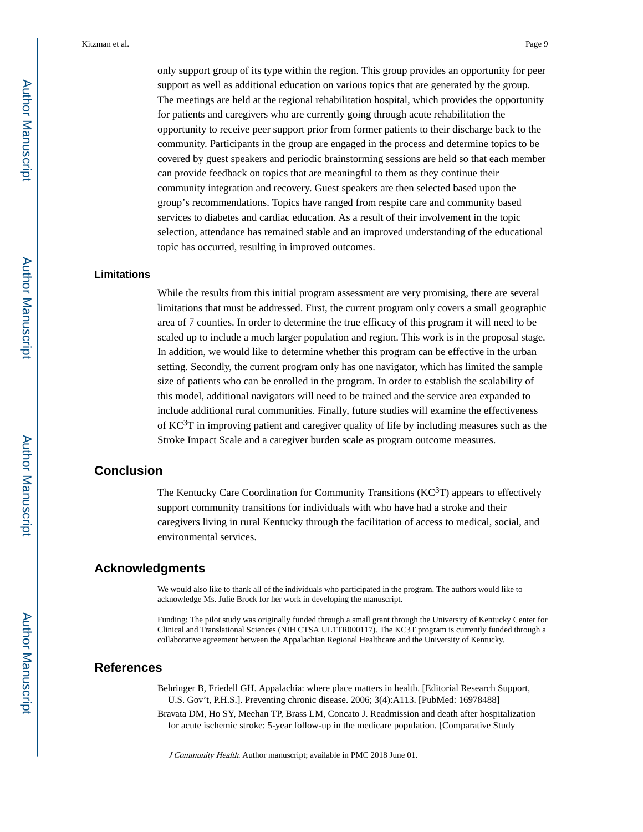only support group of its type within the region. This group provides an opportunity for peer support as well as additional education on various topics that are generated by the group. The meetings are held at the regional rehabilitation hospital, which provides the opportunity for patients and caregivers who are currently going through acute rehabilitation the opportunity to receive peer support prior from former patients to their discharge back to the community. Participants in the group are engaged in the process and determine topics to be covered by guest speakers and periodic brainstorming sessions are held so that each member can provide feedback on topics that are meaningful to them as they continue their community integration and recovery. Guest speakers are then selected based upon the group's recommendations. Topics have ranged from respite care and community based services to diabetes and cardiac education. As a result of their involvement in the topic selection, attendance has remained stable and an improved understanding of the educational topic has occurred, resulting in improved outcomes.

#### **Limitations**

While the results from this initial program assessment are very promising, there are several limitations that must be addressed. First, the current program only covers a small geographic area of 7 counties. In order to determine the true efficacy of this program it will need to be scaled up to include a much larger population and region. This work is in the proposal stage. In addition, we would like to determine whether this program can be effective in the urban setting. Secondly, the current program only has one navigator, which has limited the sample size of patients who can be enrolled in the program. In order to establish the scalability of this model, additional navigators will need to be trained and the service area expanded to include additional rural communities. Finally, future studies will examine the effectiveness of  $KC<sup>3</sup>T$  in improving patient and caregiver quality of life by including measures such as the Stroke Impact Scale and a caregiver burden scale as program outcome measures.

# **Conclusion**

The Kentucky Care Coordination for Community Transitions  $(KC^{3}T)$  appears to effectively support community transitions for individuals with who have had a stroke and their caregivers living in rural Kentucky through the facilitation of access to medical, social, and environmental services.

# **Acknowledgments**

We would also like to thank all of the individuals who participated in the program. The authors would like to acknowledge Ms. Julie Brock for her work in developing the manuscript.

Funding: The pilot study was originally funded through a small grant through the University of Kentucky Center for Clinical and Translational Sciences (NIH CTSA UL1TR000117). The KC3T program is currently funded through a collaborative agreement between the Appalachian Regional Healthcare and the University of Kentucky.

# **References**

Behringer B, Friedell GH. Appalachia: where place matters in health. [Editorial Research Support, U.S. Gov't, P.H.S.]. Preventing chronic disease. 2006; 3(4):A113. [PubMed: 16978488]

Bravata DM, Ho SY, Meehan TP, Brass LM, Concato J. Readmission and death after hospitalization for acute ischemic stroke: 5-year follow-up in the medicare population. [Comparative Study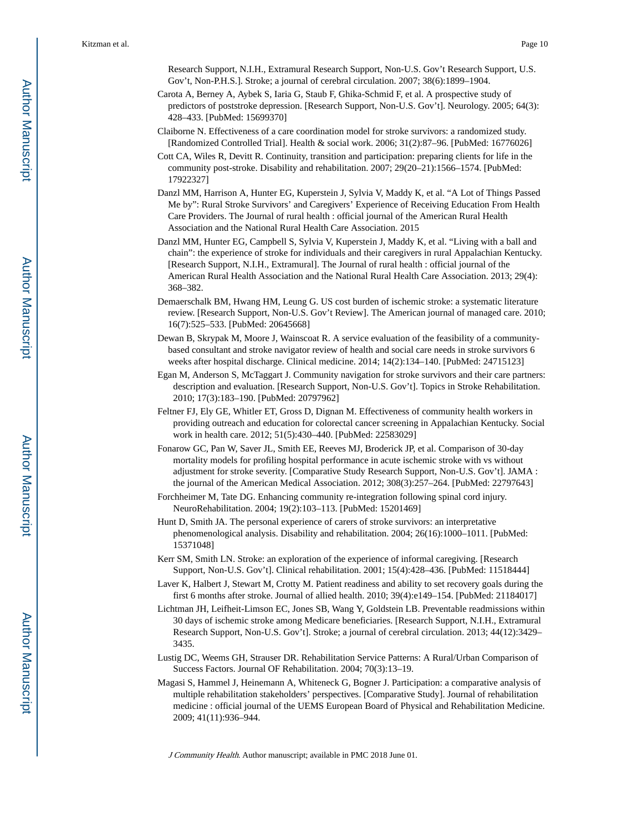Research Support, N.I.H., Extramural Research Support, Non-U.S. Gov't Research Support, U.S. Gov't, Non-P.H.S.]. Stroke; a journal of cerebral circulation. 2007; 38(6):1899–1904.

- Carota A, Berney A, Aybek S, Iaria G, Staub F, Ghika-Schmid F, et al. A prospective study of predictors of poststroke depression. [Research Support, Non-U.S. Gov't]. Neurology. 2005; 64(3): 428–433. [PubMed: 15699370]
- Claiborne N. Effectiveness of a care coordination model for stroke survivors: a randomized study. [Randomized Controlled Trial]. Health & social work. 2006; 31(2):87–96. [PubMed: 16776026]
- Cott CA, Wiles R, Devitt R. Continuity, transition and participation: preparing clients for life in the community post-stroke. Disability and rehabilitation. 2007; 29(20–21):1566–1574. [PubMed: 17922327]
- Danzl MM, Harrison A, Hunter EG, Kuperstein J, Sylvia V, Maddy K, et al. "A Lot of Things Passed Me by": Rural Stroke Survivors' and Caregivers' Experience of Receiving Education From Health Care Providers. The Journal of rural health : official journal of the American Rural Health Association and the National Rural Health Care Association. 2015
- Danzl MM, Hunter EG, Campbell S, Sylvia V, Kuperstein J, Maddy K, et al. "Living with a ball and chain": the experience of stroke for individuals and their caregivers in rural Appalachian Kentucky. [Research Support, N.I.H., Extramural]. The Journal of rural health : official journal of the American Rural Health Association and the National Rural Health Care Association. 2013; 29(4): 368–382.
- Demaerschalk BM, Hwang HM, Leung G. US cost burden of ischemic stroke: a systematic literature review. [Research Support, Non-U.S. Gov't Review]. The American journal of managed care. 2010; 16(7):525–533. [PubMed: 20645668]
- Dewan B, Skrypak M, Moore J, Wainscoat R. A service evaluation of the feasibility of a communitybased consultant and stroke navigator review of health and social care needs in stroke survivors 6 weeks after hospital discharge. Clinical medicine. 2014; 14(2):134–140. [PubMed: 24715123]
- Egan M, Anderson S, McTaggart J. Community navigation for stroke survivors and their care partners: description and evaluation. [Research Support, Non-U.S. Gov't]. Topics in Stroke Rehabilitation. 2010; 17(3):183–190. [PubMed: 20797962]
- Feltner FJ, Ely GE, Whitler ET, Gross D, Dignan M. Effectiveness of community health workers in providing outreach and education for colorectal cancer screening in Appalachian Kentucky. Social work in health care. 2012; 51(5):430–440. [PubMed: 22583029]
- Fonarow GC, Pan W, Saver JL, Smith EE, Reeves MJ, Broderick JP, et al. Comparison of 30-day mortality models for profiling hospital performance in acute ischemic stroke with vs without adjustment for stroke severity. [Comparative Study Research Support, Non-U.S. Gov't]. JAMA : the journal of the American Medical Association. 2012; 308(3):257–264. [PubMed: 22797643]
- Forchheimer M, Tate DG. Enhancing community re-integration following spinal cord injury. NeuroRehabilitation. 2004; 19(2):103–113. [PubMed: 15201469]
- Hunt D, Smith JA. The personal experience of carers of stroke survivors: an interpretative phenomenological analysis. Disability and rehabilitation. 2004; 26(16):1000–1011. [PubMed: 15371048]
- Kerr SM, Smith LN. Stroke: an exploration of the experience of informal caregiving. [Research Support, Non-U.S. Gov't]. Clinical rehabilitation. 2001; 15(4):428–436. [PubMed: 11518444]
- Laver K, Halbert J, Stewart M, Crotty M. Patient readiness and ability to set recovery goals during the first 6 months after stroke. Journal of allied health. 2010; 39(4):e149–154. [PubMed: 21184017]
- Lichtman JH, Leifheit-Limson EC, Jones SB, Wang Y, Goldstein LB. Preventable readmissions within 30 days of ischemic stroke among Medicare beneficiaries. [Research Support, N.I.H., Extramural Research Support, Non-U.S. Gov't]. Stroke; a journal of cerebral circulation. 2013; 44(12):3429– 3435.
- Lustig DC, Weems GH, Strauser DR. Rehabilitation Service Patterns: A Rural/Urban Comparison of Success Factors. Journal OF Rehabilitation. 2004; 70(3):13–19.
- Magasi S, Hammel J, Heinemann A, Whiteneck G, Bogner J. Participation: a comparative analysis of multiple rehabilitation stakeholders' perspectives. [Comparative Study]. Journal of rehabilitation medicine : official journal of the UEMS European Board of Physical and Rehabilitation Medicine. 2009; 41(11):936–944.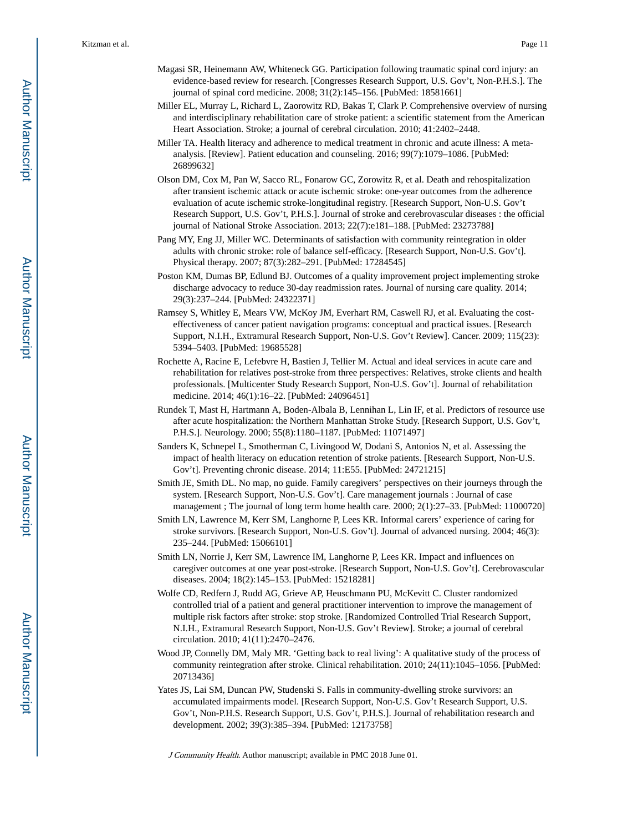- Magasi SR, Heinemann AW, Whiteneck GG. Participation following traumatic spinal cord injury: an evidence-based review for research. [Congresses Research Support, U.S. Gov't, Non-P.H.S.]. The journal of spinal cord medicine. 2008; 31(2):145–156. [PubMed: 18581661]
- Miller EL, Murray L, Richard L, Zaorowitz RD, Bakas T, Clark P. Comprehensive overview of nursing and interdisciplinary rehabilitation care of stroke patient: a scientific statement from the American Heart Association. Stroke; a journal of cerebral circulation. 2010; 41:2402–2448.
- Miller TA. Health literacy and adherence to medical treatment in chronic and acute illness: A metaanalysis. [Review]. Patient education and counseling. 2016; 99(7):1079–1086. [PubMed: 26899632]
- Olson DM, Cox M, Pan W, Sacco RL, Fonarow GC, Zorowitz R, et al. Death and rehospitalization after transient ischemic attack or acute ischemic stroke: one-year outcomes from the adherence evaluation of acute ischemic stroke-longitudinal registry. [Research Support, Non-U.S. Gov't Research Support, U.S. Gov't, P.H.S.]. Journal of stroke and cerebrovascular diseases : the official journal of National Stroke Association. 2013; 22(7):e181–188. [PubMed: 23273788]
- Pang MY, Eng JJ, Miller WC. Determinants of satisfaction with community reintegration in older adults with chronic stroke: role of balance self-efficacy. [Research Support, Non-U.S. Gov't]. Physical therapy. 2007; 87(3):282–291. [PubMed: 17284545]
- Poston KM, Dumas BP, Edlund BJ. Outcomes of a quality improvement project implementing stroke discharge advocacy to reduce 30-day readmission rates. Journal of nursing care quality. 2014; 29(3):237–244. [PubMed: 24322371]
- Ramsey S, Whitley E, Mears VW, McKoy JM, Everhart RM, Caswell RJ, et al. Evaluating the costeffectiveness of cancer patient navigation programs: conceptual and practical issues. [Research Support, N.I.H., Extramural Research Support, Non-U.S. Gov't Review]. Cancer. 2009; 115(23): 5394–5403. [PubMed: 19685528]
- Rochette A, Racine E, Lefebvre H, Bastien J, Tellier M. Actual and ideal services in acute care and rehabilitation for relatives post-stroke from three perspectives: Relatives, stroke clients and health professionals. [Multicenter Study Research Support, Non-U.S. Gov't]. Journal of rehabilitation medicine. 2014; 46(1):16–22. [PubMed: 24096451]
- Rundek T, Mast H, Hartmann A, Boden-Albala B, Lennihan L, Lin IF, et al. Predictors of resource use after acute hospitalization: the Northern Manhattan Stroke Study. [Research Support, U.S. Gov't, P.H.S.]. Neurology. 2000; 55(8):1180–1187. [PubMed: 11071497]
- Sanders K, Schnepel L, Smotherman C, Livingood W, Dodani S, Antonios N, et al. Assessing the impact of health literacy on education retention of stroke patients. [Research Support, Non-U.S. Gov't]. Preventing chronic disease. 2014; 11:E55. [PubMed: 24721215]
- Smith JE, Smith DL. No map, no guide. Family caregivers' perspectives on their journeys through the system. [Research Support, Non-U.S. Gov't]. Care management journals : Journal of case management ; The journal of long term home health care. 2000; 2(1):27–33. [PubMed: 11000720]
- Smith LN, Lawrence M, Kerr SM, Langhorne P, Lees KR. Informal carers' experience of caring for stroke survivors. [Research Support, Non-U.S. Gov't]. Journal of advanced nursing. 2004; 46(3): 235–244. [PubMed: 15066101]
- Smith LN, Norrie J, Kerr SM, Lawrence IM, Langhorne P, Lees KR. Impact and influences on caregiver outcomes at one year post-stroke. [Research Support, Non-U.S. Gov't]. Cerebrovascular diseases. 2004; 18(2):145–153. [PubMed: 15218281]
- Wolfe CD, Redfern J, Rudd AG, Grieve AP, Heuschmann PU, McKevitt C. Cluster randomized controlled trial of a patient and general practitioner intervention to improve the management of multiple risk factors after stroke: stop stroke. [Randomized Controlled Trial Research Support, N.I.H., Extramural Research Support, Non-U.S. Gov't Review]. Stroke; a journal of cerebral circulation. 2010; 41(11):2470–2476.
- Wood JP, Connelly DM, Maly MR. 'Getting back to real living': A qualitative study of the process of community reintegration after stroke. Clinical rehabilitation. 2010; 24(11):1045–1056. [PubMed: 20713436]
- Yates JS, Lai SM, Duncan PW, Studenski S. Falls in community-dwelling stroke survivors: an accumulated impairments model. [Research Support, Non-U.S. Gov't Research Support, U.S. Gov't, Non-P.H.S. Research Support, U.S. Gov't, P.H.S.]. Journal of rehabilitation research and development. 2002; 39(3):385–394. [PubMed: 12173758]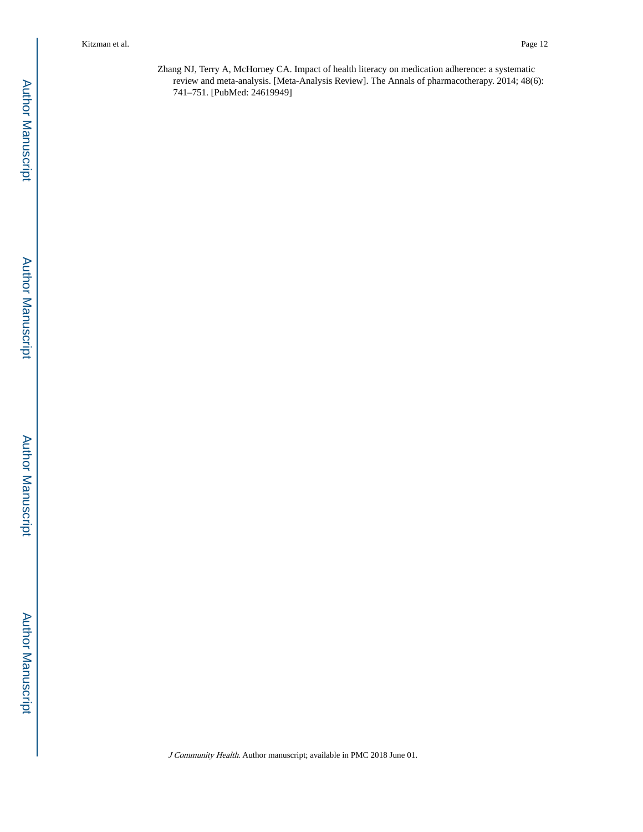Zhang NJ, Terry A, McHorney CA. Impact of health literacy on medication adherence: a systematic review and meta-analysis. [Meta-Analysis Review]. The Annals of pharmacotherapy. 2014; 48(6): 741–751. [PubMed: 24619949]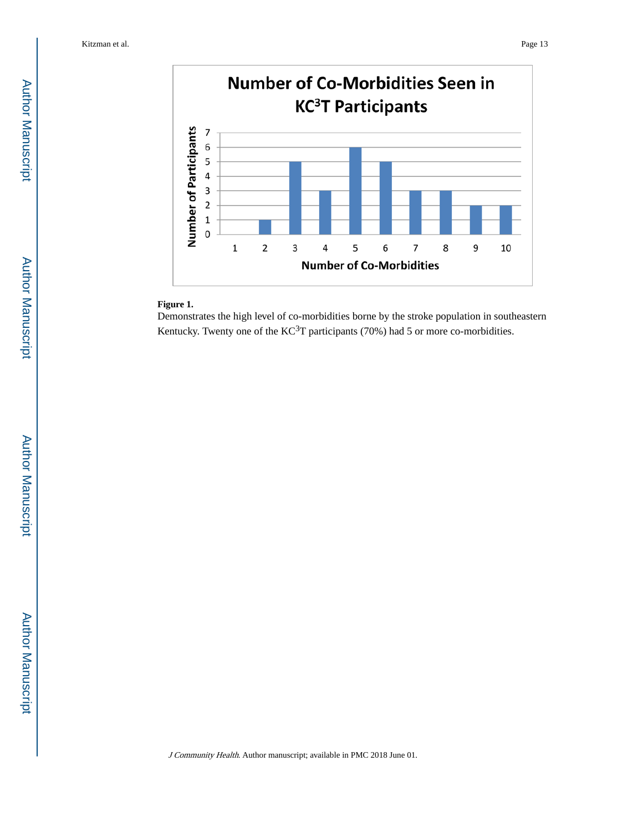

#### **Figure 1.**

Demonstrates the high level of co-morbidities borne by the stroke population in southeastern Kentucky. Twenty one of the  $KC^{3}T$  participants (70%) had 5 or more co-morbidities.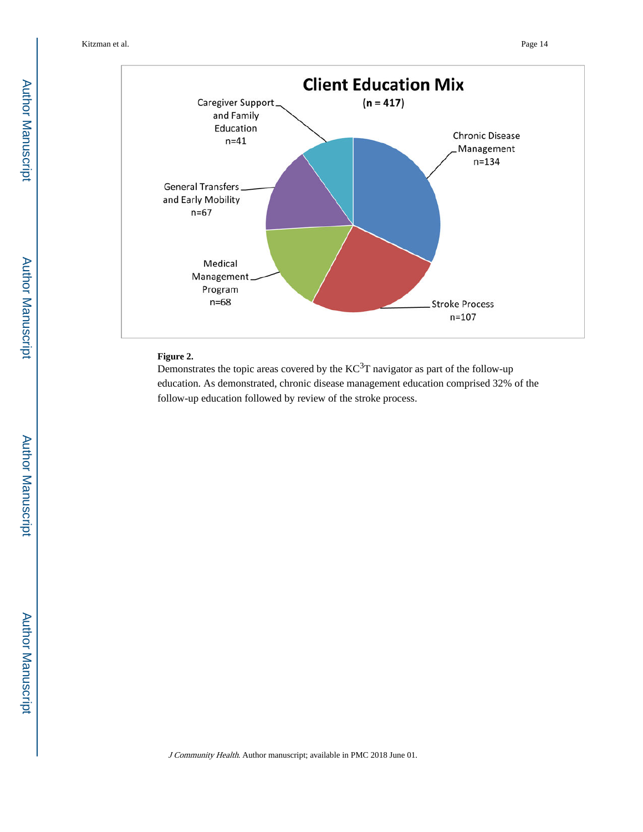

# **Figure 2.**

Demonstrates the topic areas covered by the KC<sup>3</sup>T navigator as part of the follow-up education. As demonstrated, chronic disease management education comprised 32% of the follow-up education followed by review of the stroke process.